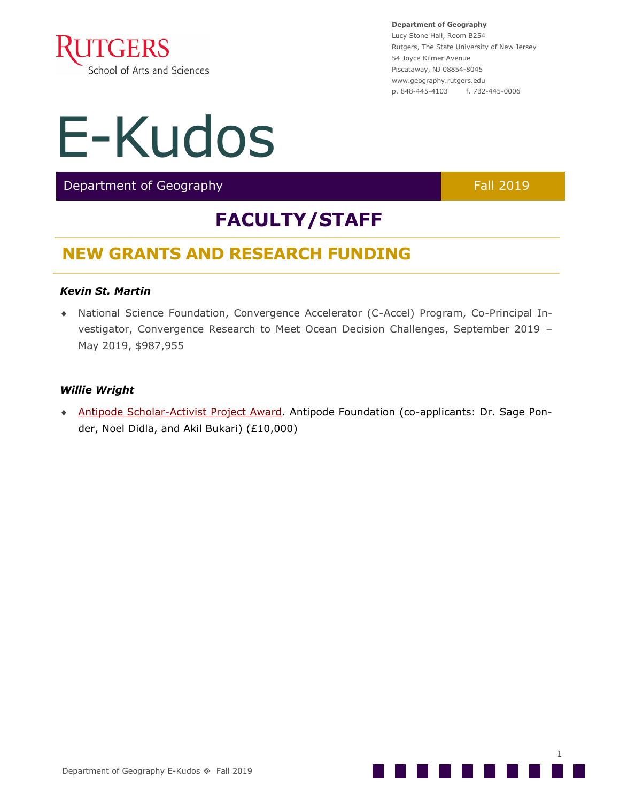

## E-Kudos

Department of Geography Fall 2019

## **FACULTY/STAFF**

## **NEW GRANTS AND RESEARCH FUNDING**

#### *Kevin St. Martin*

 National Science Foundation, Convergence Accelerator (C-Accel) Program, Co-Principal Investigator, Convergence Research to Meet Ocean Decision Challenges, September 2019 – May 2019, \$987,955

#### *Willie Wright*

 Antipode Scholar-[Activist Project Award.](https://antipodeonline.org/2019/08/29/antipode-foundation-scholar-activist-project-and-international-workshop-awards-2018-19-recipients/) Antipode Foundation (co-applicants: Dr. Sage Ponder, Noel Didla, and Akil Bukari) (£10,000)

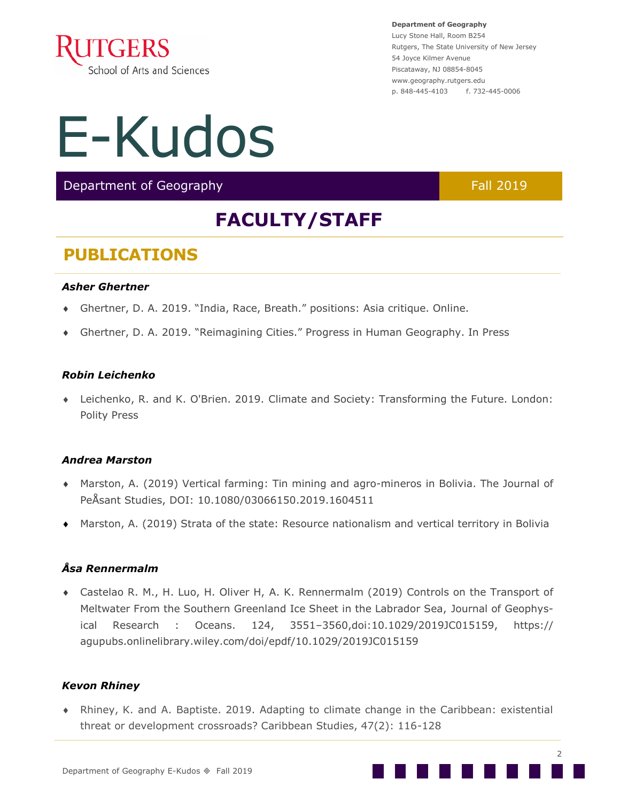

# E-Kudos

Department of Geography Fall 2019

## **FACULTY/STAFF**

### **PUBLICATIONS**

#### *Asher Ghertner*

- Ghertner, D. A. 2019. "India, Race, Breath." positions: Asia critique. Online.
- Ghertner, D. A. 2019. "Reimagining Cities." Progress in Human Geography. In Press

#### *Robin Leichenko*

 Leichenko, R. and K. O'Brien. 2019. Climate and Society: Transforming the Future. London: Polity Press

#### *Andrea Marston*

- Marston, A. (2019) Vertical farming: Tin mining and agro-mineros in Bolivia. The Journal of PeÅsant Studies, DOI: 10.1080/03066150.2019.1604511
- Marston, A. (2019) Strata of the state: Resource nationalism and vertical territory in Bolivia

#### *Åsa Rennermalm*

 Castelao R. M., H. Luo, H. Oliver H, A. K. Rennermalm (2019) Controls on the Transport of Meltwater From the Southern Greenland Ice Sheet in the Labrador Sea, Journal of Geophysical Research : Oceans. 124, 3551–3560,doi:10.1029/2019JC015159, https:// agupubs.onlinelibrary.wiley.com/doi/epdf/10.1029/2019JC015159

#### *Kevon Rhiney*

 Rhiney, K. and A. Baptiste. 2019. Adapting to climate change in the Caribbean: existential threat or development crossroads? Caribbean Studies, 47(2): 116-128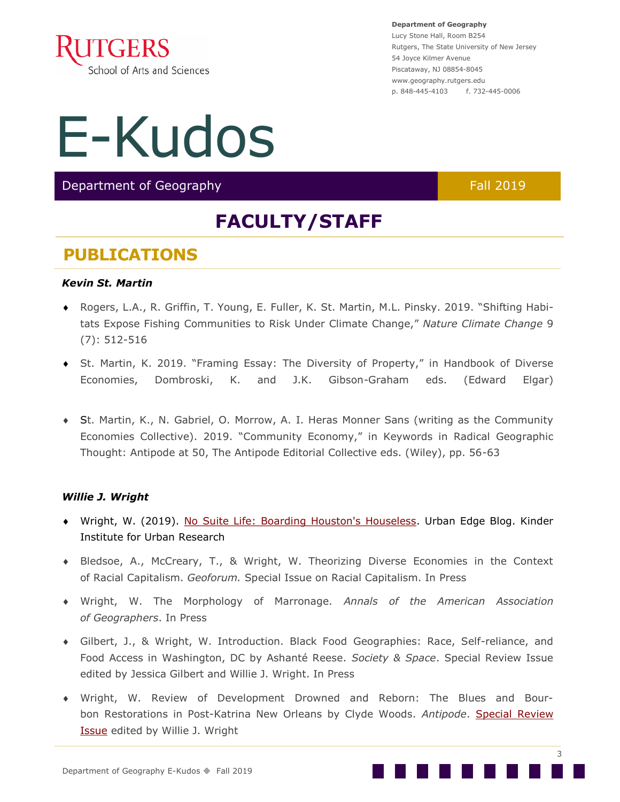

# E-Kudos

Department of Geography Fall 2019

## **FACULTY/STAFF**

### **PUBLICATIONS**

#### *Kevin St. Martin*

- Rogers, L.A., R. Griffin, T. Young, E. Fuller, K. St. Martin, M.L. Pinsky. 2019. "Shifting Habitats Expose Fishing Communities to Risk Under Climate Change," *Nature Climate Change* 9 (7): 512-516
- St. Martin, K. 2019. "Framing Essay: The Diversity of Property," in Handbook of Diverse Economies, Dombroski, K. and J.K. Gibson-Graham eds. (Edward Elgar)
- St. Martin, K., N. Gabriel, O. Morrow, A. I. Heras Monner Sans (writing as the Community Economies Collective). 2019. "Community Economy," in Keywords in Radical Geographic Thought: Antipode at 50, The Antipode Editorial Collective eds. (Wiley), pp. 56-63

#### *Willie J. Wright*

- Wright, W. (2019). [No Suite Life: Boarding Houston's Houseless.](https://nam02.safelinks.protection.outlook.com/?url=https:%2F%2Fkinder.rice.edu%2Furbanedge%2F2019%2F09%2F15%2Fno-suite-life-boarding-houston%E2%80%99s-houseless&data=02%7C01%7Ccleo.bartos%40rutgers.edu%7Ccdb365a31c574765abee08d7436360c7%7Cb92d2b234d35447093f) Urban Edge Blog. Kinder Institute for Urban Research
- Bledsoe, A., McCreary, T., & Wright, W. Theorizing Diverse Economies in the Context of Racial Capitalism. *Geoforum.* Special Issue on Racial Capitalism. In Press
- Wright, W. The Morphology of Marronage. *Annals of the American Association of Geographers*. In Press
- Gilbert, J., & Wright, W. Introduction. Black Food Geographies: Race, Self-reliance, and Food Access in Washington, DC by Ashanté Reese. *Society & Space*. Special Review Issue edited by Jessica Gilbert and Willie J. Wright. In Press
- Wright, W. Review of Development Drowned and Reborn: The Blues and Bourbon Restorations in Post-Katrina New Orleans by Clyde Woods. *Antipode*. [Special Review](https://nam02.safelinks.protection.outlook.com/?url=https%3A%2F%2Fantipodefoundation.org%2F2019%2F01%2F14%2Fdevelopment-drowned-and-reborn%2F&data=02%7C01%7Ccleo.bartos%40rutgers.edu%7Ccdb365a31c574765abee08d7436360c7%7Cb92d2b234d35447093ff69aca6632ffe%7C1%7C)  **[Issue](https://nam02.safelinks.protection.outlook.com/?url=https%3A%2F%2Fantipodefoundation.org%2F2019%2F01%2F14%2Fdevelopment-drowned-and-reborn%2F&data=02%7C01%7Ccleo.bartos%40rutgers.edu%7Ccdb365a31c574765abee08d7436360c7%7Cb92d2b234d35447093ff69aca6632ffe%7C1%7C)** edited by Willie J. Wright

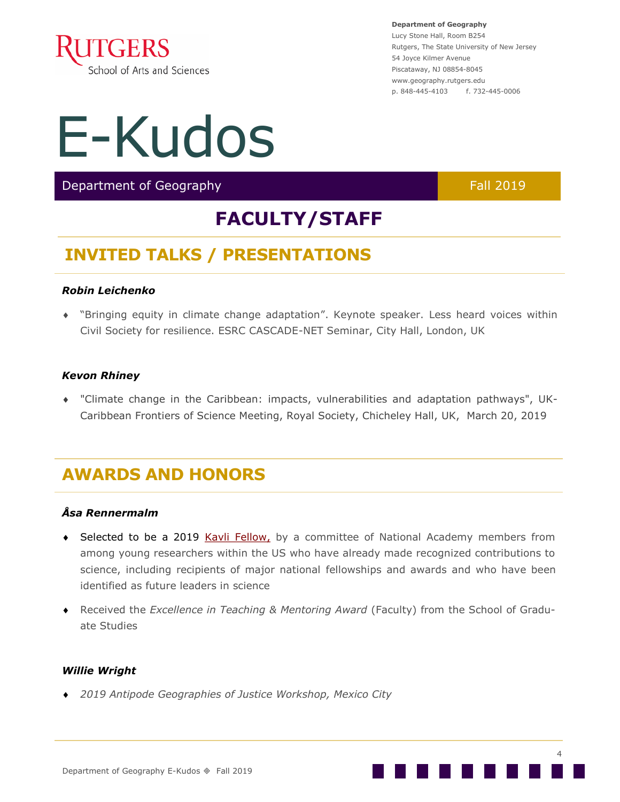

## E-Kudos

Department of Geography Fall 2019

## **FACULTY/STAFF**

## **INVITED TALKS / PRESENTATIONS**

#### *Robin Leichenko*

 "Bringing equity in climate change adaptation". Keynote speaker. Less heard voices within Civil Society for resilience. ESRC CASCADE-NET Seminar, City Hall, London, UK

#### *Kevon Rhiney*

 "Climate change in the Caribbean: impacts, vulnerabilities and adaptation pathways", UK-Caribbean Frontiers of Science Meeting, Royal Society, Chicheley Hall, UK, March 20, 2019

## **AWARDS AND HONORS**

#### *Åsa Rennermalm*

- ◆ Selected to be a 2019 [Kavli Fellow,](.(http:/www.nasonline.org/programs/kavli-frontiers-of-science/public-directory.html)) by a committee of National Academy members from among young researchers within the US who have already made recognized contributions to science, including recipients of major national fellowships and awards and who have been identified as future leaders in science
- Received the *Excellence in Teaching & Mentoring Award* (Faculty) from the School of Graduate Studies

#### *Willie Wright*

*2019 Antipode Geographies of Justice Workshop, Mexico City*

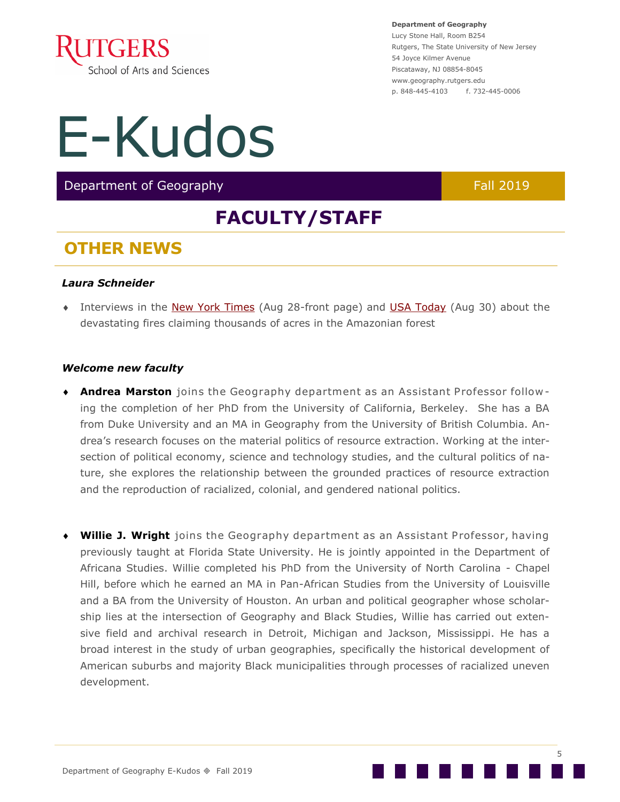

# E-Kudos

Department of Geography Fall 2019

## **FACULTY/STAFF**

### **OTHER NEWS**

#### *Laura Schneider*

 Interviews in the [New York Times](https://www.nytimes.com/2019/08/28/climate/fire-amazon-africa-siberia-worldwide.html) (Aug 28-front page) and [USA Today](https://www.usatoday.com/story/news/world/2019/08/28/brazil-denies-aid-money-amazon-fires-respiratory-problems-rise/2139236001/) (Aug 30) about the devastating fires claiming thousands of acres in the Amazonian forest

#### *Welcome new faculty*

- **Andrea Marston** joins the Geography department as an Assistant Professor following the completion of her PhD from the University of California, Berkeley. She has a BA from Duke University and an MA in Geography from the University of British Columbia. Andrea's research focuses on the material politics of resource extraction. Working at the intersection of political economy, science and technology studies, and the cultural politics of nature, she explores the relationship between the grounded practices of resource extraction and the reproduction of racialized, colonial, and gendered national politics.
- **Willie J. Wright** joins the Geography department as an Assistant Professor, having previously taught at Florida State University. He is jointly appointed in the Department of Africana Studies. Willie completed his PhD from the University of North Carolina - Chapel Hill, before which he earned an MA in Pan-African Studies from the University of Louisville and a BA from the University of Houston. An urban and political geographer whose scholarship lies at the intersection of Geography and Black Studies, Willie has carried out extensive field and archival research in Detroit, Michigan and Jackson, Mississippi. He has a broad interest in the study of urban geographies, specifically the historical development of American suburbs and majority Black municipalities through processes of racialized uneven development.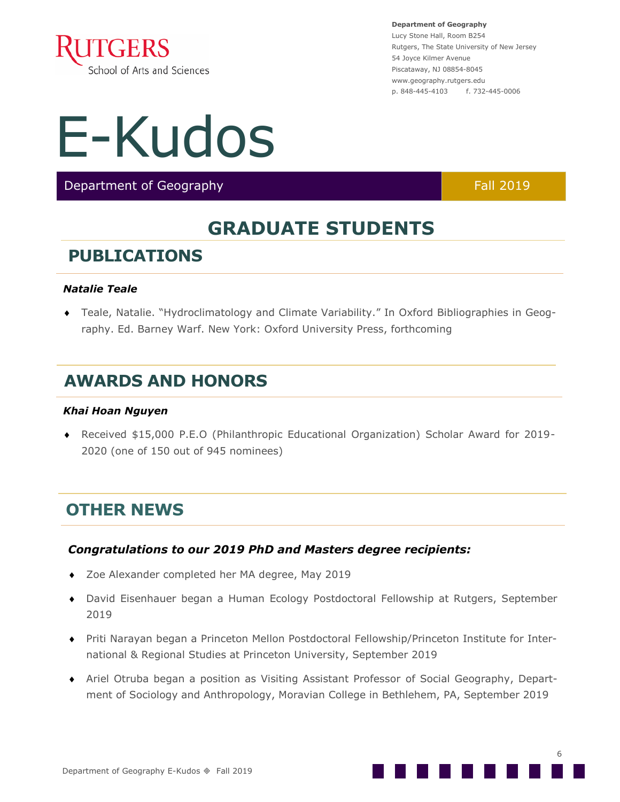

## E-Kudos

Department of Geography Fall 2019

## **GRADUATE STUDENTS**

## **PUBLICATIONS**

#### *Natalie Teale*

 Teale, Natalie. "Hydroclimatology and Climate Variability." In Oxford Bibliographies in Geography. Ed. Barney Warf. New York: Oxford University Press, forthcoming

## **AWARDS AND HONORS**

#### *Khai Hoan Nguyen*

 Received \$15,000 P.E.O (Philanthropic Educational Organization) Scholar Award for 2019- 2020 (one of 150 out of 945 nominees)

### **OTHER NEWS**

#### *Congratulations to our 2019 PhD and Masters degree recipients:*

- ◆ Zoe Alexander completed her MA degree, May 2019
- David Eisenhauer began a Human Ecology Postdoctoral Fellowship at Rutgers, September 2019
- Priti Narayan began a Princeton Mellon Postdoctoral Fellowship/Princeton Institute for International & Regional Studies at Princeton University, September 2019
- Ariel Otruba began a position as Visiting Assistant Professor of Social Geography, Department of Sociology and Anthropology, Moravian College in Bethlehem, PA, September 2019